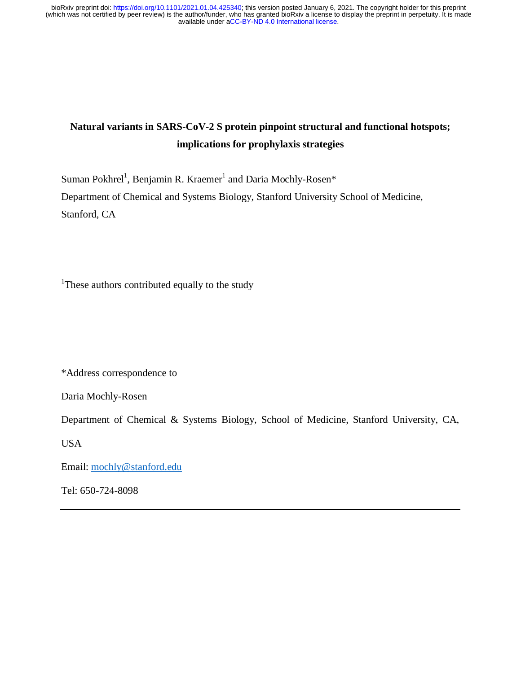# **Natural variants in SARS-CoV-2 S protein pinpoint structural and functional hotspots; implications for prophylaxis strategies**

Suman Pokhrel<sup>1</sup>, Benjamin R. Kraemer<sup>1</sup> and Daria Mochly-Rosen\* Department of Chemical and Systems Biology, Stanford University School of Medicine, Stanford, CA

<sup>1</sup>These authors contributed equally to the study

\*Address correspondence to

Daria Mochly-Rosen

Department of Chemical & Systems Biology, School of Medicine, Stanford University, CA,

USA

Email: mochly@stanford.edu

Tel: 650-724-8098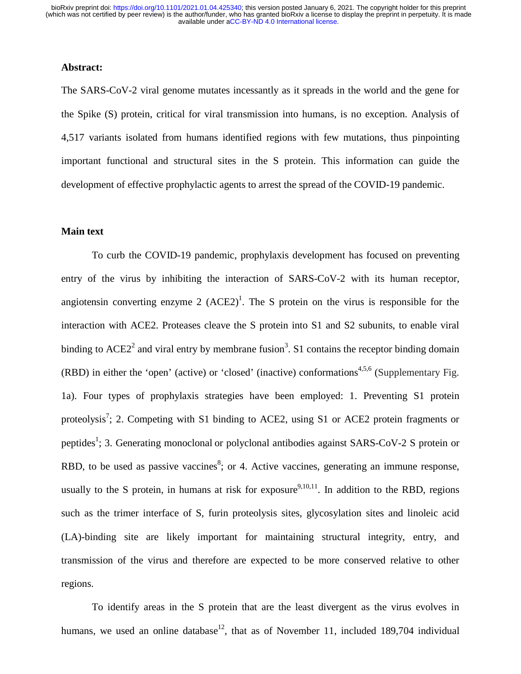#### **Abstract:**

The SARS-CoV-2 viral genome mutates incessantly as it spreads in the world and the gene for the Spike (S) protein, critical for viral transmission into humans, is no exception. Analysis of 4,517 variants isolated from humans identified regions with few mutations, thus pinpointing important functional and structural sites in the S protein. This information can guide the development of effective prophylactic agents to arrest the spread of the COVID-19 pandemic.

#### **Main text**

To curb the COVID-19 pandemic, prophylaxis development has focused on preventing entry of the virus by inhibiting the interaction of SARS-CoV-2 with its human receptor, angiotensin converting enzyme 2  $(ACE2)^1$ . The S protein on the virus is responsible for the interaction with ACE2. Proteases cleave the S protein into S1 and S2 subunits, to enable viral binding to  $ACE2<sup>2</sup>$  and viral entry by membrane fusion<sup>3</sup>. S1 contains the receptor binding domain (RBD) in either the 'open' (active) or 'closed' (inactive) conformations<sup>4,5,6</sup> (Supplementary Fig. 1a). Four types of prophylaxis strategies have been employed: 1. Preventing S1 protein proteolysis<sup>7</sup>; 2. Competing with S1 binding to ACE2, using S1 or ACE2 protein fragments or peptides<sup>1</sup>; 3. Generating monoclonal or polyclonal antibodies against SARS-CoV-2 S protein or RBD, to be used as passive vaccines<sup>8</sup>; or 4. Active vaccines, generating an immune response, usually to the S protein, in humans at risk for exposure<sup>9,10,11</sup>. In addition to the RBD, regions such as the trimer interface of S, furin proteolysis sites, glycosylation sites and linoleic acid (LA)-binding site are likely important for maintaining structural integrity, entry, and transmission of the virus and therefore are expected to be more conserved relative to other regions.

To identify areas in the S protein that are the least divergent as the virus evolves in humans, we used an online database<sup>12</sup>, that as of November 11, included 189,704 individual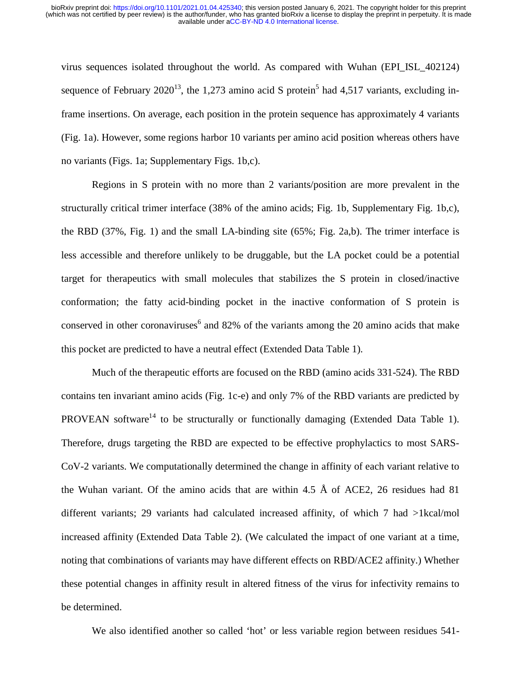virus sequences isolated throughout the world. As compared with Wuhan (EPI\_ISL\_402124) sequence of February  $2020^{13}$ , the 1,273 amino acid S protein<sup>5</sup> had 4,517 variants, excluding inframe insertions. On average, each position in the protein sequence has approximately 4 variants (Fig. 1a). However, some regions harbor 10 variants per amino acid position whereas others have no variants (Figs. 1a; Supplementary Figs. 1b,c).

Regions in S protein with no more than 2 variants/position are more prevalent in the structurally critical trimer interface (38% of the amino acids; Fig. 1b, Supplementary Fig. 1b,c), the RBD (37%, Fig. 1) and the small LA-binding site (65%; Fig. 2a,b). The trimer interface is less accessible and therefore unlikely to be druggable, but the LA pocket could be a potential target for therapeutics with small molecules that stabilizes the S protein in closed/inactive conformation; the fatty acid-binding pocket in the inactive conformation of S protein is conserved in other coronaviruses<sup>6</sup> and 82% of the variants among the 20 amino acids that make this pocket are predicted to have a neutral effect (Extended Data Table 1).

Much of the therapeutic efforts are focused on the RBD (amino acids 331-524). The RBD contains ten invariant amino acids (Fig. 1c-e) and only 7% of the RBD variants are predicted by PROVEAN software<sup>14</sup> to be structurally or functionally damaging (Extended Data Table 1). Therefore, drugs targeting the RBD are expected to be effective prophylactics to most SARS-CoV-2 variants. We computationally determined the change in affinity of each variant relative to the Wuhan variant. Of the amino acids that are within 4.5 Å of ACE2, 26 residues had 81 different variants; 29 variants had calculated increased affinity, of which 7 had >1kcal/mol increased affinity (Extended Data Table 2). (We calculated the impact of one variant at a time, noting that combinations of variants may have different effects on RBD/ACE2 affinity.) Whether these potential changes in affinity result in altered fitness of the virus for infectivity remains to be determined.

We also identified another so called 'hot' or less variable region between residues 541-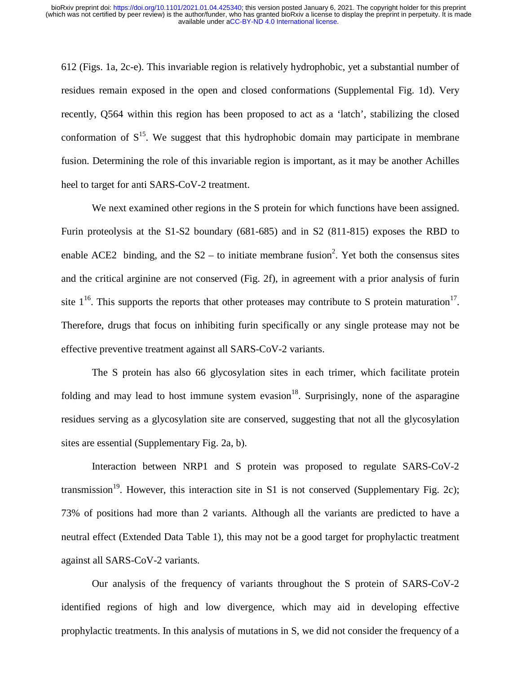612 (Figs. 1a, 2c-e). This invariable region is relatively hydrophobic, yet a substantial number of residues remain exposed in the open and closed conformations (Supplemental Fig. 1d). Very recently, Q564 within this region has been proposed to act as a 'latch', stabilizing the closed conformation of  $S^{15}$ . We suggest that this hydrophobic domain may participate in membrane fusion. Determining the role of this invariable region is important, as it may be another Achilles heel to target for anti SARS-CoV-2 treatment.

We next examined other regions in the S protein for which functions have been assigned. Furin proteolysis at the S1-S2 boundary (681-685) and in S2 (811-815) exposes the RBD to enable ACE2 binding, and the  $S2 -$  to initiate membrane fusion<sup>2</sup>. Yet both the consensus sites and the critical arginine are not conserved (Fig. 2f), in agreement with a prior analysis of furin site  $1^{16}$ . This supports the reports that other proteases may contribute to S protein maturation<sup>17</sup>. Therefore, drugs that focus on inhibiting furin specifically or any single protease may not be effective preventive treatment against all SARS-CoV-2 variants.

The S protein has also 66 glycosylation sites in each trimer, which facilitate protein folding and may lead to host immune system evasion<sup>18</sup>. Surprisingly, none of the asparagine residues serving as a glycosylation site are conserved, suggesting that not all the glycosylation sites are essential (Supplementary Fig. 2a, b).

Interaction between NRP1 and S protein was proposed to regulate SARS-CoV-2 transmission<sup>19</sup>. However, this interaction site in S1 is not conserved (Supplementary Fig. 2c); 73% of positions had more than 2 variants. Although all the variants are predicted to have a neutral effect (Extended Data Table 1), this may not be a good target for prophylactic treatment against all SARS-CoV-2 variants.

Our analysis of the frequency of variants throughout the S protein of SARS-CoV-2 identified regions of high and low divergence, which may aid in developing effective prophylactic treatments. In this analysis of mutations in S, we did not consider the frequency of a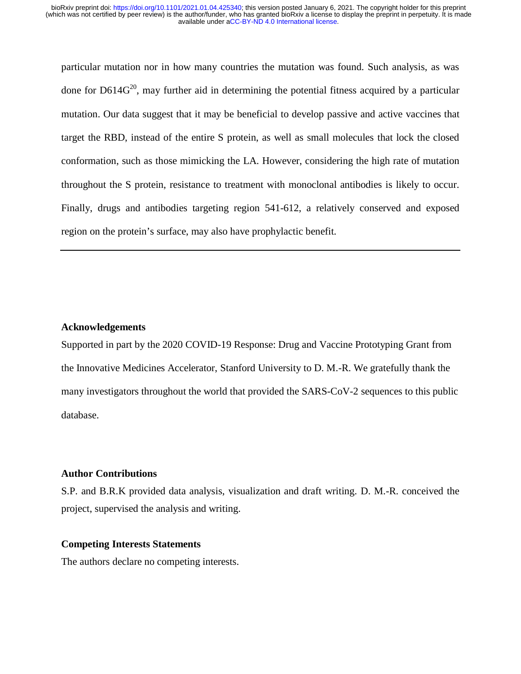particular mutation nor in how many countries the mutation was found. Such analysis, as was done for  $D614G^{20}$ , may further aid in determining the potential fitness acquired by a particular mutation. Our data suggest that it may be beneficial to develop passive and active vaccines that target the RBD, instead of the entire S protein, as well as small molecules that lock the closed conformation, such as those mimicking the LA. However, considering the high rate of mutation throughout the S protein, resistance to treatment with monoclonal antibodies is likely to occur. Finally, drugs and antibodies targeting region 541-612, a relatively conserved and exposed region on the protein's surface, may also have prophylactic benefit.

## **Acknowledgements**

Supported in part by the 2020 COVID-19 Response: Drug and Vaccine Prototyping Grant from the Innovative Medicines Accelerator, Stanford University to D. M.-R. We gratefully thank the many investigators throughout the world that provided the SARS-CoV-2 sequences to this public database.

#### **Author Contributions**

S.P. and B.R.K provided data analysis, visualization and draft writing. D. M.-R. conceived the project, supervised the analysis and writing.

## **Competing Interests Statements**

The authors declare no competing interests.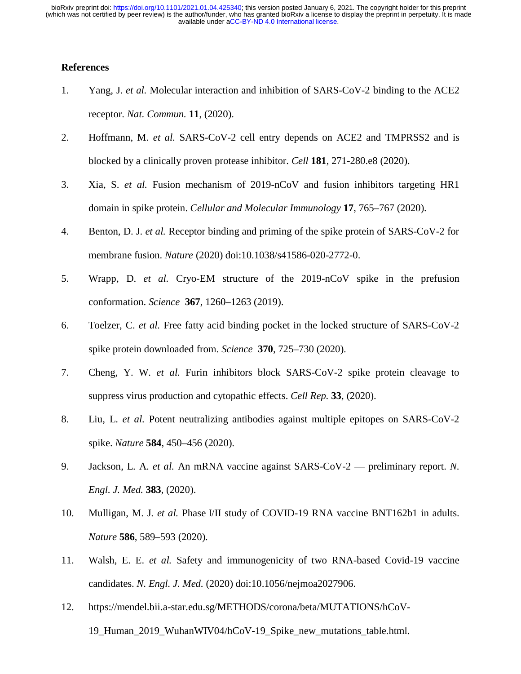# **References**

- 1. Yang, J. *et al.* Molecular interaction and inhibition of SARS-CoV-2 binding to the ACE2 receptor. *Nat. Commun.* **11**, (2020).
- 2. Hoffmann, M. *et al.* SARS-CoV-2 cell entry depends on ACE2 and TMPRSS2 and is blocked by a clinically proven protease inhibitor. *Cell* **181**, 271-280.e8 (2020).
- 3. Xia, S. *et al.* Fusion mechanism of 2019-nCoV and fusion inhibitors targeting HR1 domain in spike protein. *Cellular and Molecular Immunology* **17**, 765–767 (2020).
- 4. Benton, D. J. *et al.* Receptor binding and priming of the spike protein of SARS-CoV-2 for membrane fusion. *Nature* (2020) doi:10.1038/s41586-020-2772-0.
- 5. Wrapp, D. *et al.* Cryo-EM structure of the 2019-nCoV spike in the prefusion conformation. *Science* **367**, 1260–1263 (2019).
- 6. Toelzer, C. *et al.* Free fatty acid binding pocket in the locked structure of SARS-CoV-2 spike protein downloaded from. *Science* **370**, 725–730 (2020).
- 7. Cheng, Y. W. *et al.* Furin inhibitors block SARS-CoV-2 spike protein cleavage to suppress virus production and cytopathic effects. *Cell Rep.* **33**, (2020).
- 8. Liu, L. *et al.* Potent neutralizing antibodies against multiple epitopes on SARS-CoV-2 spike. *Nature* **584**, 450–456 (2020).
- 9. Jackson, L. A. *et al.* An mRNA vaccine against SARS-CoV-2 preliminary report. *N. Engl. J. Med.* **383**, (2020).
- 10. Mulligan, M. J. *et al.* Phase I/II study of COVID-19 RNA vaccine BNT162b1 in adults. *Nature* **586**, 589–593 (2020).
- 11. Walsh, E. E. *et al.* Safety and immunogenicity of two RNA-based Covid-19 vaccine candidates. *N. Engl. J. Med.* (2020) doi:10.1056/nejmoa2027906.
- 12. https://mendel.bii.a-star.edu.sg/METHODS/corona/beta/MUTATIONS/hCoV-19\_Human\_2019\_WuhanWIV04/hCoV-19\_Spike\_new\_mutations\_table.html.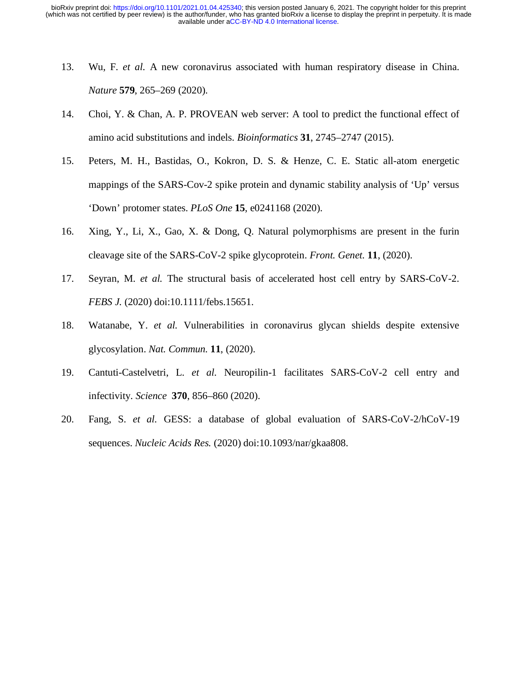- 13. Wu, F. *et al.* A new coronavirus associated with human respiratory disease in China. *Nature* **579**, 265–269 (2020).
- 14. Choi, Y. & Chan, A. P. PROVEAN web server: A tool to predict the functional effect of amino acid substitutions and indels. *Bioinformatics* **31**, 2745–2747 (2015).
- 15. Peters, M. H., Bastidas, O., Kokron, D. S. & Henze, C. E. Static all-atom energetic mappings of the SARS-Cov-2 spike protein and dynamic stability analysis of 'Up' versus 'Down' protomer states. *PLoS One* **15**, e0241168 (2020).
- 16. Xing, Y., Li, X., Gao, X. & Dong, Q. Natural polymorphisms are present in the furin cleavage site of the SARS-CoV-2 spike glycoprotein. *Front. Genet.* **11**, (2020).
- 17. Seyran, M. *et al.* The structural basis of accelerated host cell entry by SARS-CoV-2. *FEBS J.* (2020) doi:10.1111/febs.15651.
- 18. Watanabe, Y. *et al.* Vulnerabilities in coronavirus glycan shields despite extensive glycosylation. *Nat. Commun.* **11**, (2020).
- 19. Cantuti-Castelvetri, L. *et al.* Neuropilin-1 facilitates SARS-CoV-2 cell entry and infectivity. *Science* **370**, 856–860 (2020).
- 20. Fang, S. *et al.* GESS: a database of global evaluation of SARS-CoV-2/hCoV-19 sequences. *Nucleic Acids Res.* (2020) doi:10.1093/nar/gkaa808.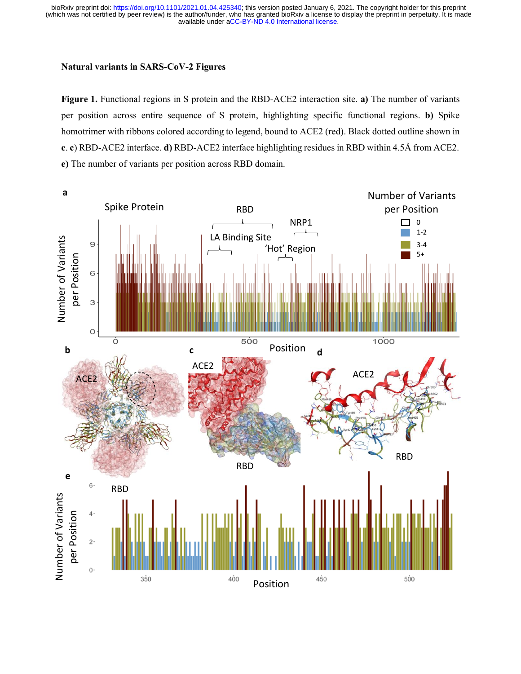#### **Natural variants in SARS-CoV-2 Figures**

**Figure 1.** Functional regions in S protein and the RBD-ACE2 interaction site. **a)** The number of variants per position across entire sequence of S protein, highlighting specific functional regions. **b)** Spike homotrimer with ribbons colored according to legend, bound to ACE2 (red). Black dotted outline shown in **c**. **c**) RBD-ACE2 interface. **d)** RBD-ACE2 interface highlighting residues in RBD within 4.5Å from ACE2. **e)** The number of variants per position across RBD domain.